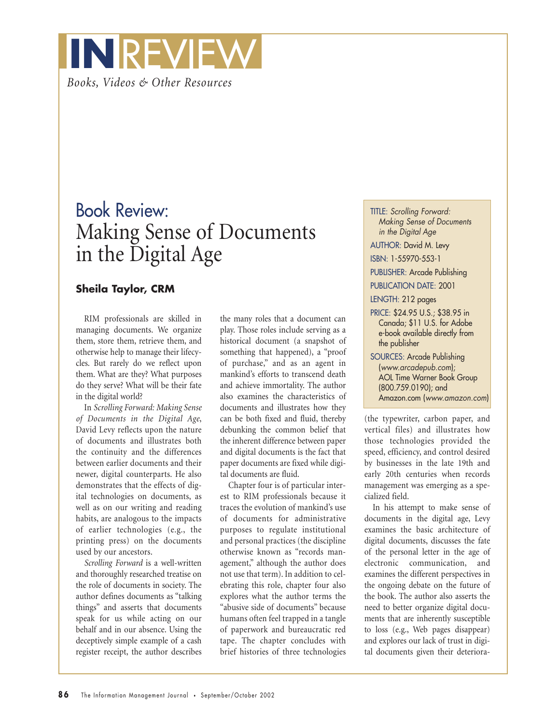

## Book Review: Making Sense of Documents in the Digital Age

## **Sheila Taylor, CRM**

RIM professionals are skilled in managing documents. We organize them, store them, retrieve them, and otherwise help to manage their lifecycles. But rarely do we reflect upon them. What are they? What purposes do they serve? What will be their fate in the digital world?

In *Scrolling Forward: Making Sense of Documents in the Digital Age*, David Levy reflects upon the nature of documents and illustrates both the continuity and the differences between earlier documents and their newer, digital counterparts. He also demonstrates that the effects of digital technologies on documents, as well as on our writing and reading habits, are analogous to the impacts of earlier technologies (e.g., the printing press) on the documents used by our ancestors.

*Scrolling Forward* is a well-written and thoroughly researched treatise on the role of documents in society. The author defines documents as "talking things" and asserts that documents speak for us while acting on our behalf and in our absence. Using the deceptively simple example of a cash register receipt, the author describes the many roles that a document can play. Those roles include serving as a historical document (a snapshot of something that happened), a "proof of purchase," and as an agent in mankind's efforts to transcend death and achieve immortality. The author also examines the characteristics of documents and illustrates how they can be both fixed and fluid, thereby debunking the common belief that the inherent difference between paper and digital documents is the fact that paper documents are fixed while digital documents are fluid.

Chapter four is of particular interest to RIM professionals because it traces the evolution of mankind's use of documents for administrative purposes to regulate institutional and personal practices (the discipline otherwise known as "records management," although the author does not use that term). In addition to celebrating this role, chapter four also explores what the author terms the "abusive side of documents" because humans often feel trapped in a tangle of paperwork and bureaucratic red tape. The chapter concludes with brief histories of three technologies TITLE: *Scrolling Forward: Making Sense of Documents in the Digital Age*

AUTHOR: David M. Levy

ISBN: 1-55970-553-1

PUBLISHER: Arcade Publishing

PUBLICATION DATE: 2001

LENGTH: 212 pages

PRICE: \$24.95 U.S.; \$38.95 in Canada; \$11 U.S. for Adobe e-book available directly from the publisher

SOURCES: Arcade Publishing (*www.arcadepub.com*); AOL Time Warner Book Group (800.759.0190); and Amazon.com (*www.amazon.com*)

(the typewriter, carbon paper, and vertical files) and illustrates how those technologies provided the speed, efficiency, and control desired by businesses in the late 19th and early 20th centuries when records management was emerging as a specialized field.

In his attempt to make sense of documents in the digital age, Levy examines the basic architecture of digital documents, discusses the fate of the personal letter in the age of electronic communication, and examines the different perspectives in the ongoing debate on the future of the book. The author also asserts the need to better organize digital documents that are inherently susceptible to loss (e.g., Web pages disappear) and explores our lack of trust in digital documents given their deteriora